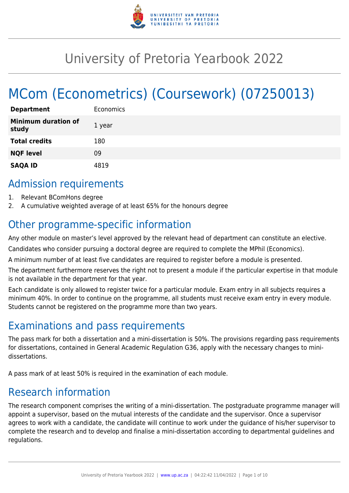

## University of Pretoria Yearbook 2022

# MCom (Econometrics) (Coursework) (07250013)

| <b>Department</b>                   | Economics |
|-------------------------------------|-----------|
| <b>Minimum duration of</b><br>study | 1 year    |
| <b>Total credits</b>                | 180       |
| <b>NQF level</b>                    | 09        |
| <b>SAQA ID</b>                      | 4819      |

### Admission requirements

- 1. Relevant BComHons degree
- 2. A cumulative weighted average of at least 65% for the honours degree

## Other programme-specific information

Any other module on master's level approved by the relevant head of department can constitute an elective.

Candidates who consider pursuing a doctoral degree are required to complete the MPhil (Economics).

A minimum number of at least five candidates are required to register before a module is presented.

The department furthermore reserves the right not to present a module if the particular expertise in that module is not available in the department for that year.

Each candidate is only allowed to register twice for a particular module. Exam entry in all subjects requires a minimum 40%. In order to continue on the programme, all students must receive exam entry in every module. Students cannot be registered on the programme more than two years.

### Examinations and pass requirements

The pass mark for both a dissertation and a mini-dissertation is 50%. The provisions regarding pass requirements for dissertations, contained in General Academic Regulation G36, apply with the necessary changes to minidissertations.

A pass mark of at least 50% is required in the examination of each module.

### Research information

The research component comprises the writing of a mini-dissertation. The postgraduate programme manager will appoint a supervisor, based on the mutual interests of the candidate and the supervisor. Once a supervisor agrees to work with a candidate, the candidate will continue to work under the guidance of his/her supervisor to complete the research and to develop and finalise a mini-dissertation according to departmental guidelines and regulations.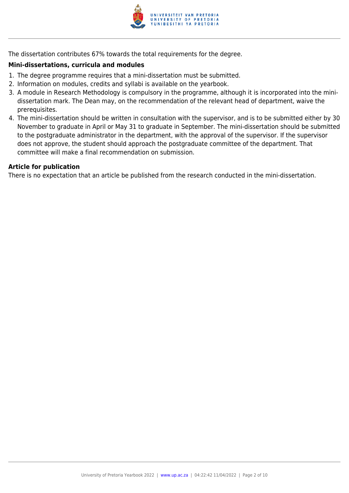

The dissertation contributes 67% towards the total requirements for the degree.

### **Mini-dissertations, curricula and modules**

- 1. The degree programme requires that a mini-dissertation must be submitted.
- 2. Information on modules, credits and syllabi is available on the yearbook.
- 3. A module in Research Methodology is compulsory in the programme, although it is incorporated into the minidissertation mark. The Dean may, on the recommendation of the relevant head of department, waive the prerequisites.
- 4. The mini-dissertation should be written in consultation with the supervisor, and is to be submitted either by 30 November to graduate in April or May 31 to graduate in September. The mini-dissertation should be submitted to the postgraduate administrator in the department, with the approval of the supervisor. If the supervisor does not approve, the student should approach the postgraduate committee of the department. That committee will make a final recommendation on submission.

### **Article for publication**

There is no expectation that an article be published from the research conducted in the mini-dissertation.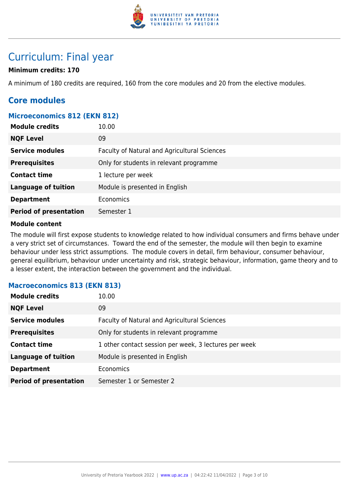

### Curriculum: Final year

### **Minimum credits: 170**

A minimum of 180 credits are required, 160 from the core modules and 20 from the elective modules.

### **Core modules**

### **Microeconomics 812 (EKN 812)**

| <b>Module credits</b>         | 10.00                                        |
|-------------------------------|----------------------------------------------|
| <b>NQF Level</b>              | 09                                           |
| <b>Service modules</b>        | Faculty of Natural and Agricultural Sciences |
| <b>Prerequisites</b>          | Only for students in relevant programme      |
| <b>Contact time</b>           | 1 lecture per week                           |
| <b>Language of tuition</b>    | Module is presented in English               |
| <b>Department</b>             | Economics                                    |
| <b>Period of presentation</b> | Semester 1                                   |

### **Module content**

The module will first expose students to knowledge related to how individual consumers and firms behave under a very strict set of circumstances. Toward the end of the semester, the module will then begin to examine behaviour under less strict assumptions. The module covers in detail, firm behaviour, consumer behaviour, general equilibrium, behaviour under uncertainty and risk, strategic behaviour, information, game theory and to a lesser extent, the interaction between the government and the individual.

### **Macroeconomics 813 (EKN 813)**

| <b>Module credits</b>         | 10.00                                                 |
|-------------------------------|-------------------------------------------------------|
| <b>NQF Level</b>              | 09                                                    |
| <b>Service modules</b>        | Faculty of Natural and Agricultural Sciences          |
| <b>Prerequisites</b>          | Only for students in relevant programme               |
| <b>Contact time</b>           | 1 other contact session per week, 3 lectures per week |
| <b>Language of tuition</b>    | Module is presented in English                        |
| <b>Department</b>             | <b>Economics</b>                                      |
| <b>Period of presentation</b> | Semester 1 or Semester 2                              |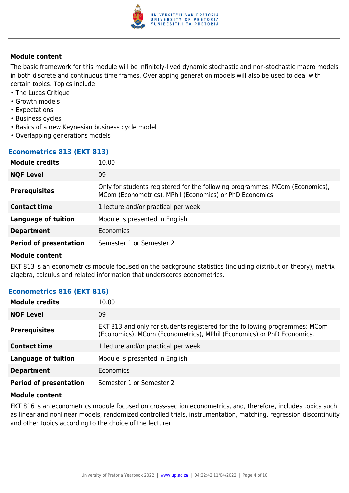

The basic framework for this module will be infinitely-lived dynamic stochastic and non-stochastic macro models in both discrete and continuous time frames. Overlapping generation models will also be used to deal with certain topics. Topics include:

- The Lucas Critique
- Growth models
- Expectations
- Business cycles
- Basics of a new Keynesian business cycle model
- Overlapping generations models

### **Econometrics 813 (EKT 813)**

| <b>Module credits</b>         | 10.00                                                                                                                                   |
|-------------------------------|-----------------------------------------------------------------------------------------------------------------------------------------|
| <b>NQF Level</b>              | 09                                                                                                                                      |
| <b>Prerequisites</b>          | Only for students registered for the following programmes: MCom (Economics),<br>MCom (Econometrics), MPhil (Economics) or PhD Economics |
| <b>Contact time</b>           | 1 lecture and/or practical per week                                                                                                     |
| <b>Language of tuition</b>    | Module is presented in English                                                                                                          |
| <b>Department</b>             | Economics                                                                                                                               |
| <b>Period of presentation</b> | Semester 1 or Semester 2                                                                                                                |

### **Module content**

EKT 813 is an econometrics module focused on the background statistics (including distribution theory), matrix algebra, calculus and related information that underscores econometrics.

### **Econometrics 816 (EKT 816)**

| <b>Module credits</b>         | 10.00                                                                                                                                                |
|-------------------------------|------------------------------------------------------------------------------------------------------------------------------------------------------|
| <b>NQF Level</b>              | 09                                                                                                                                                   |
| <b>Prerequisites</b>          | EKT 813 and only for students registered for the following programmes: MCom<br>(Economics), MCom (Econometrics), MPhil (Economics) or PhD Economics. |
| <b>Contact time</b>           | 1 lecture and/or practical per week                                                                                                                  |
| <b>Language of tuition</b>    | Module is presented in English                                                                                                                       |
| <b>Department</b>             | Economics                                                                                                                                            |
| <b>Period of presentation</b> | Semester 1 or Semester 2                                                                                                                             |

### **Module content**

EKT 816 is an econometrics module focused on cross-section econometrics, and, therefore, includes topics such as linear and nonlinear models, randomized controlled trials, instrumentation, matching, regression discontinuity and other topics according to the choice of the lecturer.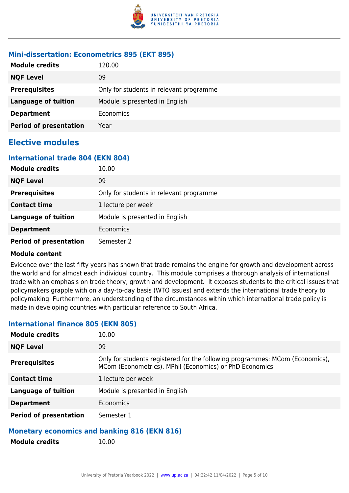

### **Mini-dissertation: Econometrics 895 (EKT 895)**

| <b>Module credits</b>         | 120.00                                  |
|-------------------------------|-----------------------------------------|
| <b>NQF Level</b>              | 09                                      |
| <b>Prerequisites</b>          | Only for students in relevant programme |
| <b>Language of tuition</b>    | Module is presented in English          |
| <b>Department</b>             | Economics                               |
| <b>Period of presentation</b> | Year                                    |

### **Elective modules**

### **International trade 804 (EKN 804)**

| <b>Module credits</b>         | 10.00                                   |
|-------------------------------|-----------------------------------------|
| <b>NQF Level</b>              | 09                                      |
| <b>Prerequisites</b>          | Only for students in relevant programme |
| <b>Contact time</b>           | 1 lecture per week                      |
| <b>Language of tuition</b>    | Module is presented in English          |
| <b>Department</b>             | <b>Economics</b>                        |
| <b>Period of presentation</b> | Semester 2                              |

### **Module content**

Evidence over the last fifty years has shown that trade remains the engine for growth and development across the world and for almost each individual country. This module comprises a thorough analysis of international trade with an emphasis on trade theory, growth and development. It exposes students to the critical issues that policymakers grapple with on a day-to-day basis (WTO issues) and extends the international trade theory to policymaking. Furthermore, an understanding of the circumstances within which international trade policy is made in developing countries with particular reference to South Africa.

### **Module credits** 10.00 **NOF Level** 09 **Prerequisites** Only for students registered for the following programmes: MCom (Economics), MCom (Econometrics), MPhil (Economics) or PhD Economics **Contact time** 1 lecture per week **Language of tuition** Module is presented in English **Department** Economics **Period of presentation** Semester 1

### **International finance 805 (EKN 805)**

### **Monetary economics and banking 816 (EKN 816)**

**Module credits** 10.00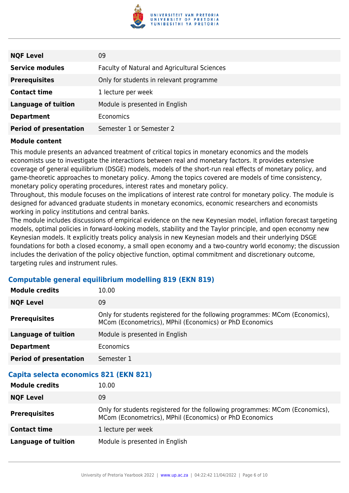

| <b>NQF Level</b>              | 09                                           |
|-------------------------------|----------------------------------------------|
| <b>Service modules</b>        | Faculty of Natural and Agricultural Sciences |
| <b>Prerequisites</b>          | Only for students in relevant programme      |
| <b>Contact time</b>           | 1 lecture per week                           |
| <b>Language of tuition</b>    | Module is presented in English               |
| <b>Department</b>             | <b>Economics</b>                             |
| <b>Period of presentation</b> | Semester 1 or Semester 2                     |

This module presents an advanced treatment of critical topics in monetary economics and the models economists use to investigate the interactions between real and monetary factors. It provides extensive coverage of general equilibrium (DSGE) models, models of the short-run real effects of monetary policy, and game-theoretic approaches to monetary policy. Among the topics covered are models of time consistency, monetary policy operating procedures, interest rates and monetary policy.

Throughout, this module focuses on the implications of interest rate control for monetary policy. The module is designed for advanced graduate students in monetary economics, economic researchers and economists working in policy institutions and central banks.

The module includes discussions of empirical evidence on the new Keynesian model, inflation forecast targeting models, optimal policies in forward-looking models, stability and the Taylor principle, and open economy new Keynesian models. It explicitly treats policy analysis in new Keynesian models and their underlying DSGE foundations for both a closed economy, a small open economy and a two-country world economy; the discussion includes the derivation of the policy objective function, optimal commitment and discretionary outcome, targeting rules and instrument rules.

### **Computable general equilibrium modelling 819 (EKN 819)**

| <b>Module credits</b>                  | 10.00                                                                                                                                   |
|----------------------------------------|-----------------------------------------------------------------------------------------------------------------------------------------|
| <b>NQF Level</b>                       | 09                                                                                                                                      |
| <b>Prerequisites</b>                   | Only for students registered for the following programmes: MCom (Economics),<br>MCom (Econometrics), MPhil (Economics) or PhD Economics |
| <b>Language of tuition</b>             | Module is presented in English                                                                                                          |
| <b>Department</b>                      | <b>Economics</b>                                                                                                                        |
| <b>Period of presentation</b>          | Semester 1                                                                                                                              |
| Capita selecta economics 821 (EKN 821) |                                                                                                                                         |
|                                        |                                                                                                                                         |
| <b>Module credits</b>                  | 10.00                                                                                                                                   |
| <b>NQF Level</b>                       | 09                                                                                                                                      |
| <b>Prerequisites</b>                   | Only for students registered for the following programmes: MCom (Economics),<br>MCom (Econometrics), MPhil (Economics) or PhD Economics |
| <b>Contact time</b>                    | 1 lecture per week                                                                                                                      |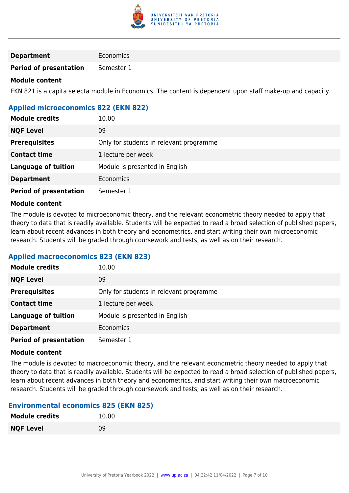

### **Department** Economics

**Period of presentation** Semester 1

### **Module content**

EKN 821 is a capita selecta module in Economics. The content is dependent upon staff make-up and capacity.

### **Applied microeconomics 822 (EKN 822)**

| <b>Module credits</b>         | 10.00                                   |
|-------------------------------|-----------------------------------------|
| <b>NQF Level</b>              | 09                                      |
| <b>Prerequisites</b>          | Only for students in relevant programme |
| <b>Contact time</b>           | 1 lecture per week                      |
| <b>Language of tuition</b>    | Module is presented in English          |
| <b>Department</b>             | Economics                               |
| <b>Period of presentation</b> | Semester 1                              |

### **Module content**

The module is devoted to microeconomic theory, and the relevant econometric theory needed to apply that theory to data that is readily available. Students will be expected to read a broad selection of published papers, learn about recent advances in both theory and econometrics, and start writing their own microeconomic research. Students will be graded through coursework and tests, as well as on their research.

### **Applied macroeconomics 823 (EKN 823)**

| <b>Module credits</b>         | 10.00                                   |
|-------------------------------|-----------------------------------------|
| <b>NQF Level</b>              | 09                                      |
| <b>Prerequisites</b>          | Only for students in relevant programme |
| <b>Contact time</b>           | 1 lecture per week                      |
| <b>Language of tuition</b>    | Module is presented in English          |
| <b>Department</b>             | Economics                               |
| <b>Period of presentation</b> | Semester 1                              |

### **Module content**

The module is devoted to macroeconomic theory, and the relevant econometric theory needed to apply that theory to data that is readily available. Students will be expected to read a broad selection of published papers, learn about recent advances in both theory and econometrics, and start writing their own macroeconomic research. Students will be graded through coursework and tests, as well as on their research.

### **Environmental economics 825 (EKN 825)**

| <b>Module credits</b> | 10.00 |
|-----------------------|-------|
| <b>NQF Level</b>      | 09    |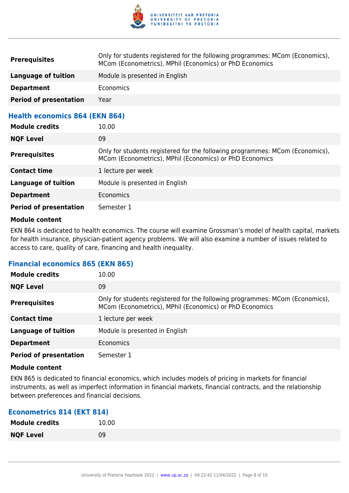

| <b>Prerequisites</b>                  | Only for students registered for the following programmes: MCom (Economics),<br>MCom (Econometrics), MPhil (Economics) or PhD Economics |
|---------------------------------------|-----------------------------------------------------------------------------------------------------------------------------------------|
| Language of tuition                   | Module is presented in English                                                                                                          |
| <b>Department</b>                     | Economics                                                                                                                               |
| <b>Period of presentation</b>         | Year                                                                                                                                    |
| <b>Health economics 864 (EKN 864)</b> |                                                                                                                                         |

| <b>Module credits</b>         | 10.00                                                                                                                                   |
|-------------------------------|-----------------------------------------------------------------------------------------------------------------------------------------|
| <b>NQF Level</b>              | 09                                                                                                                                      |
| <b>Prerequisites</b>          | Only for students registered for the following programmes: MCom (Economics),<br>MCom (Econometrics), MPhil (Economics) or PhD Economics |
| <b>Contact time</b>           | 1 lecture per week                                                                                                                      |
| <b>Language of tuition</b>    | Module is presented in English                                                                                                          |
| <b>Department</b>             | <b>Economics</b>                                                                                                                        |
| <b>Period of presentation</b> | Semester 1                                                                                                                              |

EKN 864 is dedicated to health economics. The course will examine Grossman's model of health capital, markets for health insurance, physician-patient agency problems. We will also examine a number of issues related to access to care, quality of care, financing and health inequality.

### **Financial economics 865 (EKN 865)**

| <b>Module credits</b>         | 10.00                                                                                                                                   |
|-------------------------------|-----------------------------------------------------------------------------------------------------------------------------------------|
| <b>NQF Level</b>              | 09                                                                                                                                      |
| <b>Prerequisites</b>          | Only for students registered for the following programmes: MCom (Economics),<br>MCom (Econometrics), MPhil (Economics) or PhD Economics |
| <b>Contact time</b>           | 1 lecture per week                                                                                                                      |
| <b>Language of tuition</b>    | Module is presented in English                                                                                                          |
| <b>Department</b>             | <b>Economics</b>                                                                                                                        |
| <b>Period of presentation</b> | Semester 1                                                                                                                              |

### **Module content**

EKN 865 is dedicated to financial economics, which includes models of pricing in markets for financial instruments, as well as imperfect information in financial markets, financial contracts, and the relationship between preferences and financial decisions.

### **Econometrics 814 (EKT 814)**

| <b>Module credits</b> | 10.00 |
|-----------------------|-------|
| <b>NQF Level</b>      | 09    |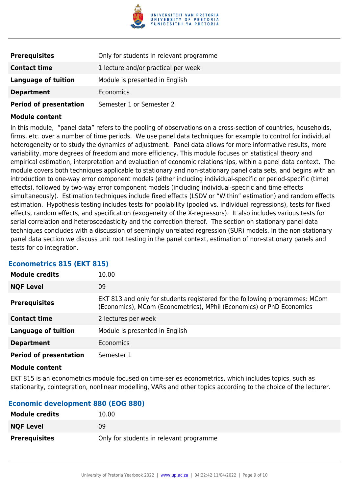

| <b>Prerequisites</b>          | Only for students in relevant programme |
|-------------------------------|-----------------------------------------|
| <b>Contact time</b>           | 1 lecture and/or practical per week     |
| Language of tuition           | Module is presented in English          |
| <b>Department</b>             | <b>Economics</b>                        |
| <b>Period of presentation</b> | Semester 1 or Semester 2                |

In this module, "panel data" refers to the pooling of observations on a cross-section of countries, households, firms, etc. over a number of time periods. We use panel data techniques for example to control for individual heterogeneity or to study the dynamics of adjustment. Panel data allows for more informative results, more variability, more degrees of freedom and more efficiency. This module focuses on statistical theory and empirical estimation, interpretation and evaluation of economic relationships, within a panel data context. The module covers both techniques applicable to stationary and non-stationary panel data sets, and begins with an introduction to one-way error component models (either including individual-specific or period-specific (time) effects), followed by two-way error component models (including individual-specific and time effects simultaneously). Estimation techniques include fixed effects (LSDV or "Within" estimation) and random effects estimation. Hypothesis testing includes tests for poolability (pooled vs. individual regressions), tests for fixed effects, random effects, and specification (exogeneity of the X-regressors). It also includes various tests for serial correlation and heteroscedasticity and the correction thereof. The section on stationary panel data techniques concludes with a discussion of seemingly unrelated regression (SUR) models. In the non-stationary panel data section we discuss unit root testing in the panel context, estimation of non-stationary panels and tests for co integration.

| Etonomothos ved terti vedi    |                                                                                                                                                     |
|-------------------------------|-----------------------------------------------------------------------------------------------------------------------------------------------------|
| <b>Module credits</b>         | 10.00                                                                                                                                               |
| <b>NQF Level</b>              | 09                                                                                                                                                  |
| <b>Prerequisites</b>          | EKT 813 and only for students registered for the following programmes: MCom<br>(Economics), MCom (Econometrics), MPhil (Economics) or PhD Economics |
| <b>Contact time</b>           | 2 lectures per week                                                                                                                                 |
| Language of tuition           | Module is presented in English                                                                                                                      |
| <b>Department</b>             | Economics                                                                                                                                           |
| <b>Period of presentation</b> | Semester 1                                                                                                                                          |

### **Econometrics 815 (EKT 815)**

### **Module content**

EKT 815 is an econometrics module focused on time-series econometrics, which includes topics, such as stationarity, cointegration, nonlinear modelling, VARs and other topics according to the choice of the lecturer.

### **Economic development 880 (EOG 880)**

| <b>Module credits</b> | 10.00                                   |
|-----------------------|-----------------------------------------|
| <b>NQF Level</b>      | 09                                      |
| <b>Prerequisites</b>  | Only for students in relevant programme |